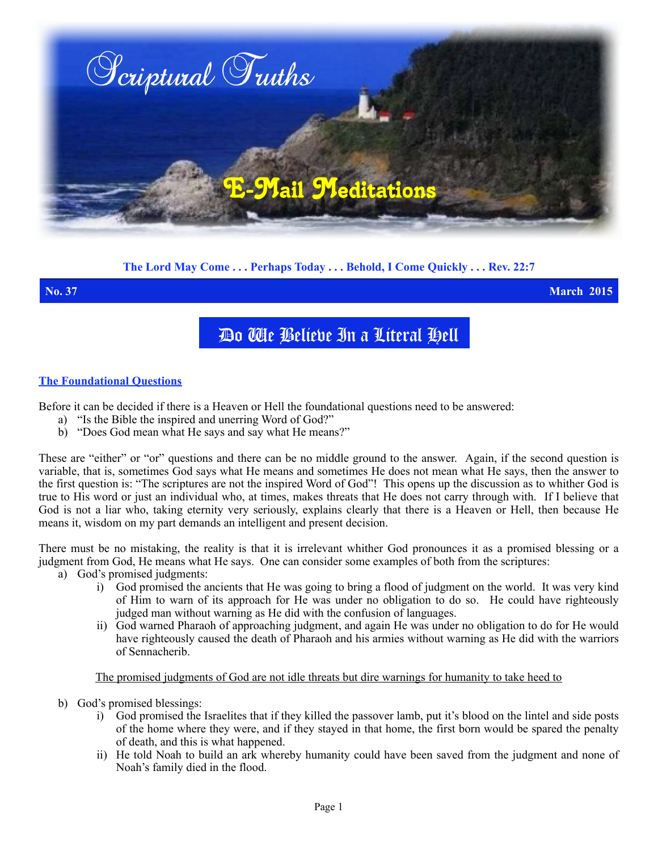

# **The Lord May Come . . . Perhaps Today . . . Behold, I Come Quickly . . . Rev. 22:7**

**No. 37 March 2015**

# Do We Believe In a Literal Hell

### **The Foundational Questions**

Before it can be decided if there is a Heaven or Hell the foundational questions need to be answered:

- a) "Is the Bible the inspired and unerring Word of God?"
- b) "Does God mean what He says and say what He means?"

These are "either" or "or" questions and there can be no middle ground to the answer. Again, if the second question is variable, that is, sometimes God says what He means and sometimes He does not mean what He says, then the answer to the first question is: "The scriptures are not the inspired Word of God"! This opens up the discussion as to whither God is true to His word or just an individual who, at times, makes threats that He does not carry through with. If I believe that God is not a liar who, taking eternity very seriously, explains clearly that there is a Heaven or Hell, then because He means it, wisdom on my part demands an intelligent and present decision.

There must be no mistaking, the reality is that it is irrelevant whither God pronounces it as a promised blessing or a judgment from God, He means what He says. One can consider some examples of both from the scriptures:

- a) God's promised judgments:
	- i) God promised the ancients that He was going to bring a flood of judgment on the world. It was very kind of Him to warn of its approach for He was under no obligation to do so. He could have righteously judged man without warning as He did with the confusion of languages.
	- ii) God warned Pharaoh of approaching judgment, and again He was under no obligation to do for He would have righteously caused the death of Pharaoh and his armies without warning as He did with the warriors of Sennacherib.

#### The promised judgments of God are not idle threats but dire warnings for humanity to take heed to

- b) God's promised blessings:
	- i) God promised the Israelites that if they killed the passover lamb, put it's blood on the lintel and side posts of the home where they were, and if they stayed in that home, the first born would be spared the penalty of death, and this is what happened.
	- ii) He told Noah to build an ark whereby humanity could have been saved from the judgment and none of Noah's family died in the flood.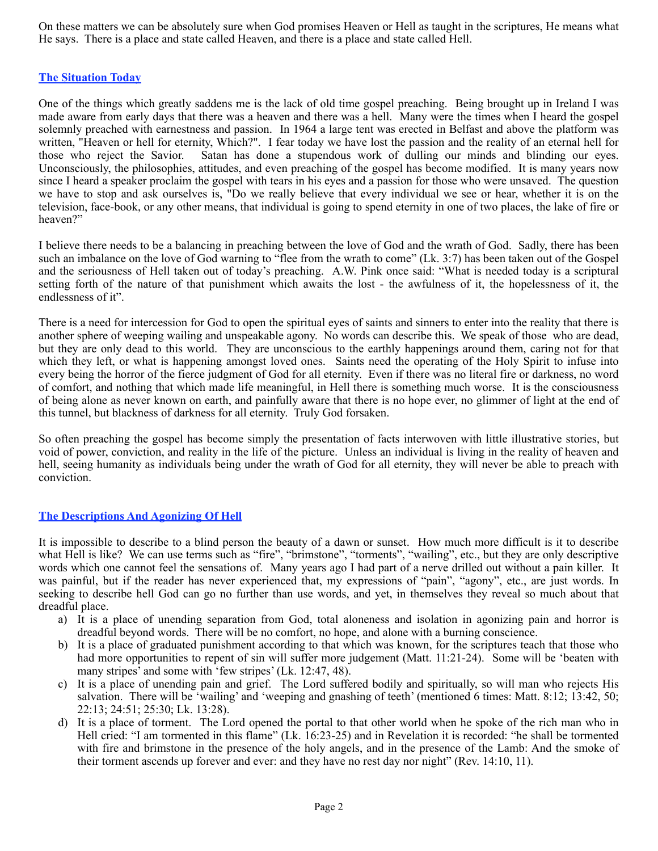On these matters we can be absolutely sure when God promises Heaven or Hell as taught in the scriptures, He means what He says. There is a place and state called Heaven, and there is a place and state called Hell.

#### **The Situation Today**

One of the things which greatly saddens me is the lack of old time gospel preaching. Being brought up in Ireland I was made aware from early days that there was a heaven and there was a hell. Many were the times when I heard the gospel solemnly preached with earnestness and passion. In 1964 a large tent was erected in Belfast and above the platform was written, "Heaven or hell for eternity, Which?". I fear today we have lost the passion and the reality of an eternal hell for those who reject the Savior. Satan has done a stupendous work of dulling our minds and blinding our eyes. Unconsciously, the philosophies, attitudes, and even preaching of the gospel has become modified. It is many years now since I heard a speaker proclaim the gospel with tears in his eyes and a passion for those who were unsaved. The question we have to stop and ask ourselves is, "Do we really believe that every individual we see or hear, whether it is on the television, face-book, or any other means, that individual is going to spend eternity in one of two places, the lake of fire or heaven?"

I believe there needs to be a balancing in preaching between the love of God and the wrath of God. Sadly, there has been such an imbalance on the love of God warning to "flee from the wrath to come" (Lk. 3:7) has been taken out of the Gospel and the seriousness of Hell taken out of today's preaching. A.W. Pink once said: "What is needed today is a scriptural setting forth of the nature of that punishment which awaits the lost - the awfulness of it, the hopelessness of it, the endlessness of it".

There is a need for intercession for God to open the spiritual eyes of saints and sinners to enter into the reality that there is another sphere of weeping wailing and unspeakable agony. No words can describe this. We speak of those who are dead, but they are only dead to this world. They are unconscious to the earthly happenings around them, caring not for that which they left, or what is happening amongst loved ones. Saints need the operating of the Holy Spirit to infuse into every being the horror of the fierce judgment of God for all eternity. Even if there was no literal fire or darkness, no word of comfort, and nothing that which made life meaningful, in Hell there is something much worse. It is the consciousness of being alone as never known on earth, and painfully aware that there is no hope ever, no glimmer of light at the end of this tunnel, but blackness of darkness for all eternity. Truly God forsaken.

So often preaching the gospel has become simply the presentation of facts interwoven with little illustrative stories, but void of power, conviction, and reality in the life of the picture. Unless an individual is living in the reality of heaven and hell, seeing humanity as individuals being under the wrath of God for all eternity, they will never be able to preach with conviction.

#### **The Descriptions And Agonizing Of Hell**

It is impossible to describe to a blind person the beauty of a dawn or sunset. How much more difficult is it to describe what Hell is like? We can use terms such as "fire", "brimstone", "torments", "wailing", etc., but they are only descriptive words which one cannot feel the sensations of. Many years ago I had part of a nerve drilled out without a pain killer. It was painful, but if the reader has never experienced that, my expressions of "pain", "agony", etc., are just words. In seeking to describe hell God can go no further than use words, and yet, in themselves they reveal so much about that dreadful place.

- a) It is a place of unending separation from God, total aloneness and isolation in agonizing pain and horror is dreadful beyond words. There will be no comfort, no hope, and alone with a burning conscience.
- b) It is a place of graduated punishment according to that which was known, for the scriptures teach that those who had more opportunities to repent of sin will suffer more judgement (Matt. 11:21-24). Some will be 'beaten with many stripes' and some with 'few stripes' (Lk. 12:47, 48).
- c) It is a place of unending pain and grief. The Lord suffered bodily and spiritually, so will man who rejects His salvation. There will be 'wailing' and 'weeping and gnashing of teeth' (mentioned 6 times: Matt. 8:12; 13:42, 50; 22:13; 24:51; 25:30; Lk. 13:28).
- d) It is a place of torment. The Lord opened the portal to that other world when he spoke of the rich man who in Hell cried: "I am tormented in this flame" (Lk. 16:23-25) and in Revelation it is recorded: "he shall be tormented with fire and brimstone in the presence of the holy angels, and in the presence of the Lamb: And the smoke of their torment ascends up forever and ever: and they have no rest day nor night" (Rev. 14:10, 11).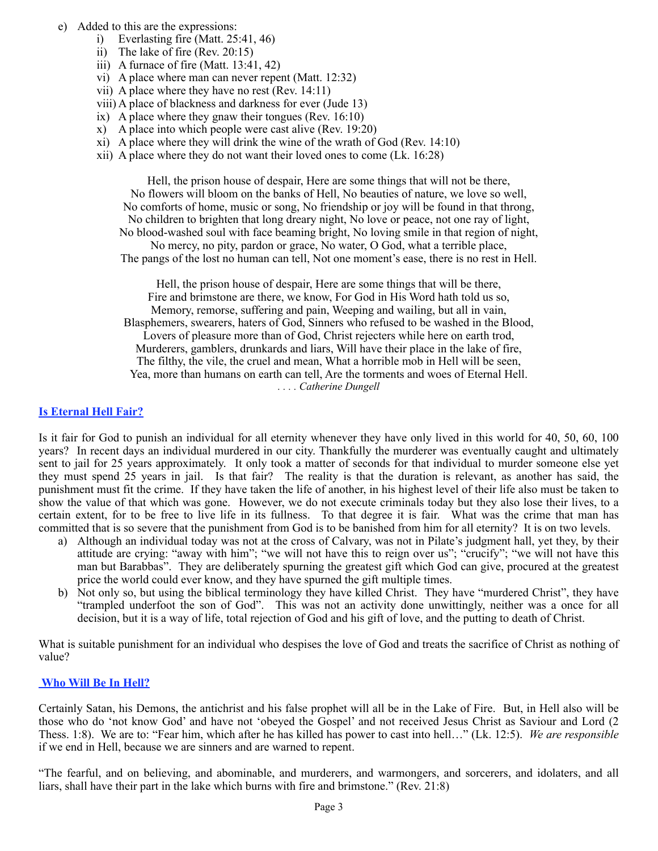- e) Added to this are the expressions:
	- i) Everlasting fire  $(Matt. 25:41, 46)$
	- ii) The lake of fire (Rev. 20:15)
	- iii) A furnace of fire (Matt. 13:41, 42)
	- vi) A place where man can never repent (Matt. 12:32)
	- vii) A place where they have no rest (Rev. 14:11)
	- viii) A place of blackness and darkness for ever (Jude 13)
	- ix) A place where they gnaw their tongues (Rev. 16:10)
	- x) A place into which people were cast alive (Rev. 19:20)
	- xi) A place where they will drink the wine of the wrath of God (Rev.  $14:10$ )
	- xii) A place where they do not want their loved ones to come (Lk. 16:28)

Hell, the prison house of despair, Here are some things that will not be there, No flowers will bloom on the banks of Hell, No beauties of nature, we love so well, No comforts of home, music or song, No friendship or joy will be found in that throng, No children to brighten that long dreary night, No love or peace, not one ray of light, No blood-washed soul with face beaming bright, No loving smile in that region of night, No mercy, no pity, pardon or grace, No water, O God, what a terrible place, The pangs of the lost no human can tell, Not one moment's ease, there is no rest in Hell.

Hell, the prison house of despair, Here are some things that will be there, Fire and brimstone are there, we know, For God in His Word hath told us so, Memory, remorse, suffering and pain, Weeping and wailing, but all in vain, Blasphemers, swearers, haters of God, Sinners who refused to be washed in the Blood, Lovers of pleasure more than of God, Christ rejecters while here on earth trod, Murderers, gamblers, drunkards and liars, Will have their place in the lake of fire, The filthy, the vile, the cruel and mean, What a horrible mob in Hell will be seen, Yea, more than humans on earth can tell, Are the torments and woes of Eternal Hell. *. . . . Catherine Dungell*

#### **Is Eternal Hell Fair?**

Is it fair for God to punish an individual for all eternity whenever they have only lived in this world for 40, 50, 60, 100 years? In recent days an individual murdered in our city. Thankfully the murderer was eventually caught and ultimately sent to jail for 25 years approximately. It only took a matter of seconds for that individual to murder someone else yet they must spend 25 years in jail. Is that fair? The reality is that the duration is relevant, as another has said, the punishment must fit the crime. If they have taken the life of another, in his highest level of their life also must be taken to show the value of that which was gone. However, we do not execute criminals today but they also lose their lives, to a certain extent, for to be free to live life in its fullness. To that degree it is fair. What was the crime that man has committed that is so severe that the punishment from God is to be banished from him for all eternity? It is on two levels.

- a) Although an individual today was not at the cross of Calvary, was not in Pilate's judgment hall, yet they, by their attitude are crying: "away with him"; "we will not have this to reign over us"; "crucify"; "we will not have this man but Barabbas". They are deliberately spurning the greatest gift which God can give, procured at the greatest price the world could ever know, and they have spurned the gift multiple times.
- b) Not only so, but using the biblical terminology they have killed Christ. They have "murdered Christ", they have "trampled underfoot the son of God". This was not an activity done unwittingly, neither was a once for all decision, but it is a way of life, total rejection of God and his gift of love, and the putting to death of Christ.

What is suitable punishment for an individual who despises the love of God and treats the sacrifice of Christ as nothing of value?

#### **Who Will Be In Hell?**

Certainly Satan, his Demons, the antichrist and his false prophet will all be in the Lake of Fire. But, in Hell also will be those who do 'not know God' and have not 'obeyed the Gospel' and not received Jesus Christ as Saviour and Lord (2 Thess. 1:8). We are to: "Fear him, which after he has killed has power to cast into hell…" (Lk. 12:5). *We are responsible*  if we end in Hell, because we are sinners and are warned to repent.

"The fearful, and on believing, and abominable, and murderers, and warmongers, and sorcerers, and idolaters, and all liars, shall have their part in the lake which burns with fire and brimstone." (Rev. 21:8)